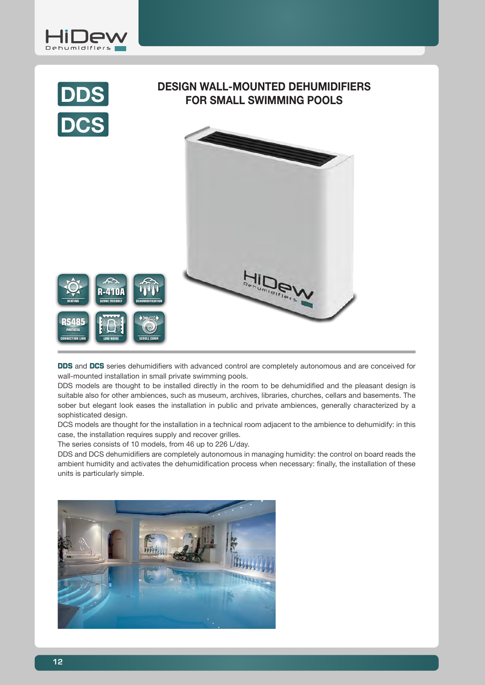



**DDS** and DCS series dehumidifiers with advanced control are completely autonomous and are conceived for wall-mounted installation in small private swimming pools.

DDS models are thought to be installed directly in the room to be dehumidified and the pleasant design is suitable also for other ambiences, such as museum, archives, libraries, churches, cellars and basements. The sober but elegant look eases the installation in public and private ambiences, generally characterized by a sophisticated design.

DCS models are thought for the installation in a technical room adjacent to the ambience to dehumidify: in this case, the installation requires supply and recover grilles.

The series consists of 10 models, from 46 up to 226 L/day.

DDS and DCS dehumidifiers are completely autonomous in managing humidity: the control on board reads the ambient humidity and activates the dehumidification process when necessary: finally, the installation of these units is particularly simple.